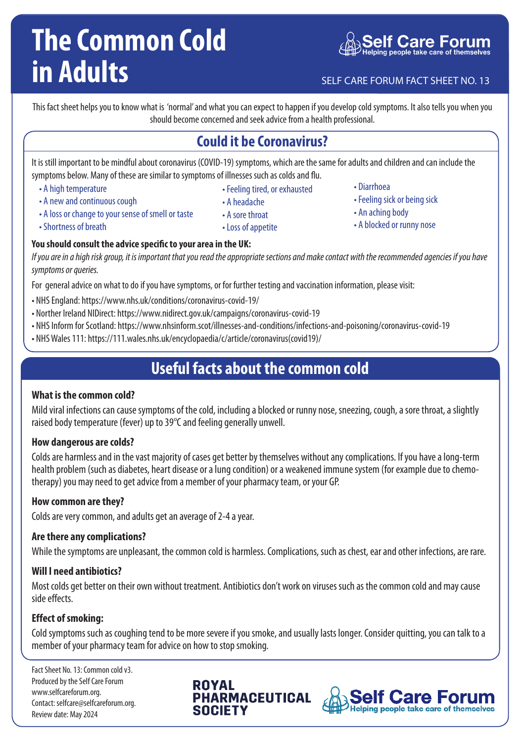# **The Common Cold in Adults** SELF CARE FORUM FACT SHEET NO. 13

This fact sheet helps you to know what is 'normal' and what you can expect to happen if you develop cold symptoms. It also tells you when you should become concerned and seek advice from a health professional.

### **Could it be Coronavirus?**

It is still important to be mindful about coronavirus (COVID-19) symptoms, which are the same for adults and children and can include the symptoms below. Many of these are similar to symptoms of illnesses such as colds and flu.

• A high temperature

• A new and continuous cough

- Feeling tired, or exhausted
- A headache
- A loss or change to your sense of smell or taste • A sore throat
	- Loss of appetite
- Diarrhoea
- Feeling sick or being sick
- An aching body
- A blocked or runny nose

• Shortness of breath

### **You should consult the advice specific to your area in the UK:**

*If you are in a high risk group, it is important that you read the appropriate sections and make contact with the recommended agencies if you have symptoms or queries.*

For general advice on what to do if you have symptoms, or for further testing and vaccination information, please visit:

- NHS England: https://www.nhs.uk/conditions/coronavirus-covid-19/
- Norther Ireland NIDirect: https://www.nidirect.gov.uk/campaigns/coronavirus-covid-19
- NHS Inform for Scotland: https://www.nhsinform.scot/illnesses-and-conditions/infections-and-poisoning/coronavirus-covid-19
- NHS Wales 111: https://111.wales.nhs.uk/encyclopaedia/c/article/coronavirus(covid19)/

### **Useful facts about the common cold**

#### **What is the common cold?**

Mild viral infections can cause symptoms of the cold, including a blocked or runny nose, sneezing, cough, a sore throat, a slightly raised body temperature (fever) up to 39°C and feeling generally unwell.

#### **How dangerous are colds?**

Colds are harmless and in the vast majority of cases get better by themselves without any complications. If you have a long-term health problem (such as diabetes, heart disease or a lung condition) or a weakened immune system (for example due to chemotherapy) you may need to get advice from a member of your pharmacy team, or your GP.

#### **How common are they?**

Colds are very common, and adults get an average of 2-4 a year.

#### **Are there any complications?**

While the symptoms are unpleasant, the common cold is harmless. Complications, such as chest, ear and other infections, are rare.

#### **Will I need antibiotics?**

Most colds get better on their own without treatment. Antibiotics don't work on viruses such as the common cold and may cause side effects.

#### **Effect of smoking:**

Cold symptoms such as coughing tend to be more severe if you smoke, and usually lasts longer. Consider quitting, you can talk to a member of your pharmacy team for advice on how to stop smoking.

Fact Sheet No. 13: Common cold v3. Produced by the Self Care Forum www.selfcareforum.org. Contact: selfcare@selfcareforum.org. Review date: May 2024

**ROYAL PHARMACEUTICAL SOCIETY**